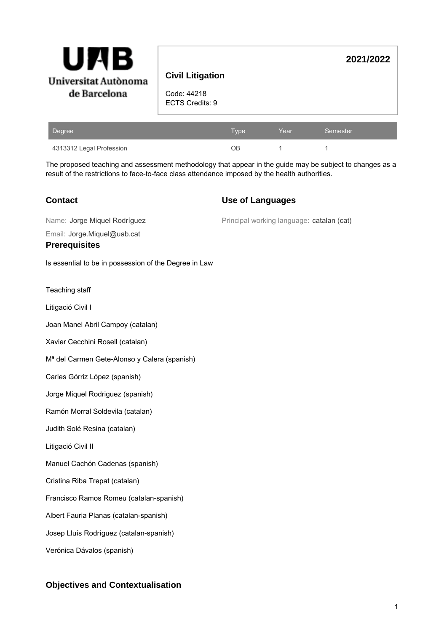

# **Civil Litigation**

Code: 44218 ECTS Credits: 9

| Degree                   | Type | Year | Semester |
|--------------------------|------|------|----------|
| 4313312 Legal Profession | ЭB   |      |          |

The proposed teaching and assessment methodology that appear in the guide may be subject to changes as a result of the restrictions to face-to-face class attendance imposed by the health authorities.

# **Contact**

## **Use of Languages**

Principal working language: catalan (cat)

**2021/2022**

Name: Jorge Miquel Rodríguez

Email: Jorge.Miquel@uab.cat

## **Prerequisites**

Is essential to be in possession of the Degree in Law

Teaching staff

Litigació Civil I

Joan Manel Abril Campoy (catalan)

Xavier Cecchini Rosell (catalan)

Mª del Carmen Gete-Alonso y Calera (spanish)

Carles Górriz López (spanish)

Jorge Miquel Rodriguez (spanish)

Ramón Morral Soldevila (catalan)

Judith Solé Resina (catalan)

Litigació Civil II

Manuel Cachón Cadenas (spanish)

Cristina Riba Trepat (catalan)

Francisco Ramos Romeu (catalan-spanish)

Albert Fauria Planas (catalan-spanish)

Josep Lluís Rodríguez (catalan-spanish)

Verónica Dávalos (spanish)

## **Objectives and Contextualisation**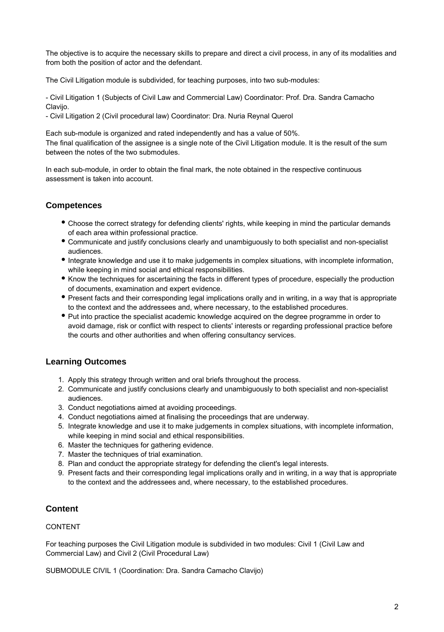The objective is to acquire the necessary skills to prepare and direct a civil process, in any of its modalities and from both the position of actor and the defendant.

The Civil Litigation module is subdivided, for teaching purposes, into two sub-modules:

- Civil Litigation 1 (Subjects of Civil Law and Commercial Law) Coordinator: Prof. Dra. Sandra Camacho Clavijo.

- Civil Litigation 2 (Civil procedural law) Coordinator: Dra. Nuria Reynal Querol

Each sub-module is organized and rated independently and has a value of 50%. The final qualification of the assignee is a single note of the Civil Litigation module. It is the result of the sum between the notes of the two submodules.

In each sub-module, in order to obtain the final mark, the note obtained in the respective continuous assessment is taken into account.

## **Competences**

- Choose the correct strategy for defending clients' rights, while keeping in mind the particular demands of each area within professional practice.
- Communicate and justify conclusions clearly and unambiguously to both specialist and non-specialist audiences.
- Integrate knowledge and use it to make judgements in complex situations, with incomplete information, while keeping in mind social and ethical responsibilities.
- Know the techniques for ascertaining the facts in different types of procedure, especially the production of documents, examination and expert evidence.
- Present facts and their corresponding legal implications orally and in writing, in a way that is appropriate to the context and the addressees and, where necessary, to the established procedures.
- Put into practice the specialist academic knowledge acquired on the degree programme in order to avoid damage, risk or conflict with respect to clients' interests or regarding professional practice before the courts and other authorities and when offering consultancy services.

# **Learning Outcomes**

- 1. Apply this strategy through written and oral briefs throughout the process.
- 2. Communicate and justify conclusions clearly and unambiguously to both specialist and non-specialist audiences.
- 3. Conduct negotiations aimed at avoiding proceedings.
- 4. Conduct negotiations aimed at finalising the proceedings that are underway.
- 5. Integrate knowledge and use it to make judgements in complex situations, with incomplete information, while keeping in mind social and ethical responsibilities.
- 6. Master the techniques for gathering evidence.
- 7. Master the techniques of trial examination.
- 8. Plan and conduct the appropriate strategy for defending the client's legal interests.
- 9. Present facts and their corresponding legal implications orally and in writing, in a way that is appropriate to the context and the addressees and, where necessary, to the established procedures.

# **Content**

## CONTENT

For teaching purposes the Civil Litigation module is subdivided in two modules: Civil 1 (Civil Law and Commercial Law) and Civil 2 (Civil Procedural Law)

SUBMODULE CIVIL 1 (Coordination: Dra. Sandra Camacho Clavijo)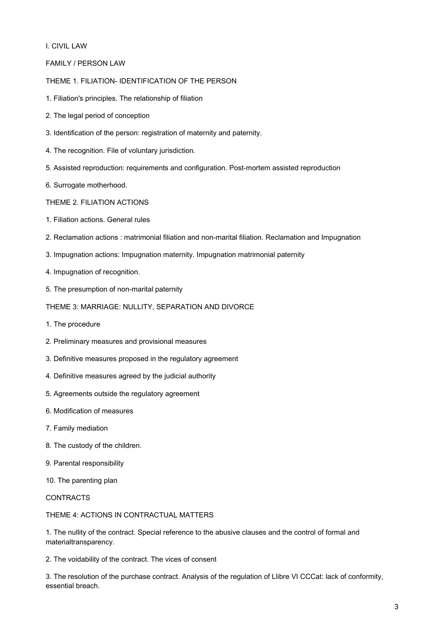### I. CIVIL LAW

FAMILY / PERSON LAW

THEME 1. FILIATION- IDENTIFICATION OF THE PERSON

- 1. Filiation's principles. The relationship of filiation
- 2. The legal period of conception
- 3. Identification of the person: registration of maternity and paternity.
- 4. The recognition. File of voluntary jurisdiction.
- 5. Assisted reproduction: requirements and configuration. Post-mortem assisted reproduction
- 6. Surrogate motherhood.
- THEME 2. FILIATION ACTIONS
- 1. Filiation actions. General rules
- 2. Reclamation actions : matrimonial filiation and non-marital filiation. Reclamation and Impugnation
- 3. Impugnation actions: Impugnation maternity. Impugnation matrimonial paternity
- 4. Impugnation of recognition.
- 5. The presumption of non-marital paternity
- THEME 3: MARRIAGE: NULLITY, SEPARATION AND DIVORCE
- 1. The procedure
- 2. Preliminary measures and provisional measures
- 3. Definitive measures proposed in the regulatory agreement
- 4. Definitive measures agreed by the judicial authority
- 5. Agreements outside the regulatory agreement
- 6. Modification of measures
- 7. Family mediation
- 8. The custody of the children.
- 9. Parental responsibility
- 10. The parenting plan

## **CONTRACTS**

## THEME 4: ACTIONS IN CONTRACTUAL MATTERS

1. The nullity of the contract. Special reference to the abusive clauses and the control of formal and materialtransparency.

2. The voidability of the contract. The vices of consent

3. The resolution of the purchase contract. Analysis of the regulation of Llibre VI CCCat: lack of conformity, essential breach.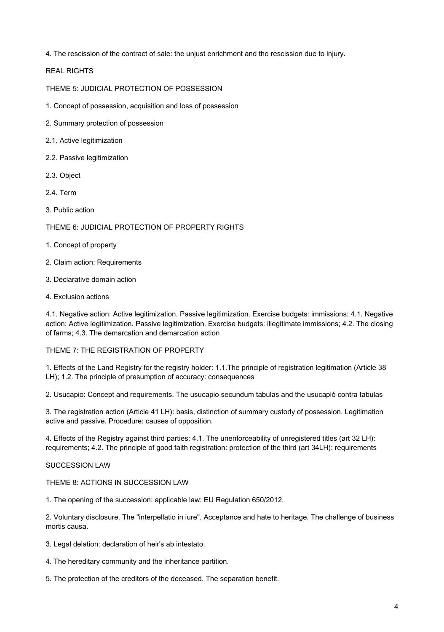4. The rescission of the contract of sale: the unjust enrichment and the rescission due to injury.

REAL RIGHTS

THEME 5: JUDICIAL PROTECTION OF POSSESSION

1. Concept of possession, acquisition and loss of possession

- 2. Summary protection of possession
- 2.1. Active legitimization
- 2.2. Passive legitimization
- 2.3. Object
- 2.4. Term
- 3. Public action

THEME 6: JUDICIAL PROTECTION OF PROPERTY RIGHTS

- 1. Concept of property
- 2. Claim action: Requirements
- 3. Declarative domain action
- 4. Exclusion actions

4.1. Negative action: Active legitimization. Passive legitimization. Exercise budgets: immissions: 4.1. Negative action: Active legitimization. Passive legitimization. Exercise budgets: illegitimate immissions; 4.2. The closing of farms; 4.3. The demarcation and demarcation action

#### THEME 7: THE REGISTRATION OF PROPERTY

1. Effects of the Land Registry for the registry holder: 1.1.The principle of registration legitimation (Article 38 LH); 1.2. The principle of presumption of accuracy: consequences

2. Usucapio: Concept and requirements. The usucapio secundum tabulas and the usucapió contra tabulas

3. The registration action (Article 41 LH): basis, distinction of summary custody of possession. Legitimation active and passive. Procedure: causes of opposition.

4. Effects of the Registry against third parties: 4.1. The unenforceability of unregistered titles (art 32 LH): requirements; 4.2. The principle of good faith registration: protection of the third (art 34LH): requirements

#### SUCCESSION LAW

THEME 8: ACTIONS IN SUCCESSION LAW

1. The opening of the succession: applicable law: EU Regulation 650/2012.

2. Voluntary disclosure. The "interpellatio in iure". Acceptance and hate to heritage. The challenge of business mortis causa.

- 3. Legal delation: declaration of heir's ab intestato.
- 4. The hereditary community and the inheritance partition.
- 5. The protection of the creditors of the deceased. The separation benefit.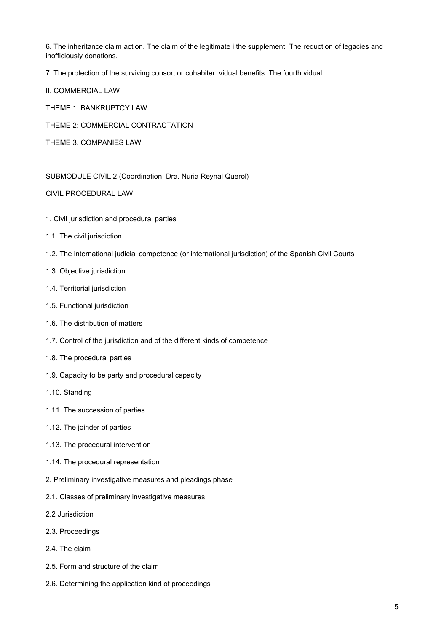6. The inheritance claim action. The claim of the legitimate i the supplement. The reduction of legacies and inofficiously donations.

7. The protection of the surviving consort or cohabiter: vidual benefits. The fourth vidual.

II. COMMERCIAL LAW

THEME 1. BANKRUPTCY LAW

THEME 2: COMMERCIAL CONTRACTATION

THEME 3. COMPANIES LAW

SUBMODULE CIVIL 2 (Coordination: Dra. Nuria Reynal Querol)

#### CIVIL PROCEDURAL LAW

- 1. Civil jurisdiction and procedural parties
- 1.1. The civil jurisdiction
- 1.2. The international judicial competence (or international jurisdiction) of the Spanish Civil Courts
- 1.3. Objective jurisdiction
- 1.4. Territorial jurisdiction
- 1.5. Functional jurisdiction
- 1.6. The distribution of matters
- 1.7. Control of the jurisdiction and of the different kinds of competence
- 1.8. The procedural parties
- 1.9. Capacity to be party and procedural capacity
- 1.10. Standing
- 1.11. The succession of parties
- 1.12. The joinder of parties
- 1.13. The procedural intervention
- 1.14. The procedural representation
- 2. Preliminary investigative measures and pleadings phase
- 2.1. Classes of preliminary investigative measures
- 2.2 Jurisdiction
- 2.3. Proceedings
- 2.4. The claim
- 2.5. Form and structure of the claim
- 2.6. Determining the application kind of proceedings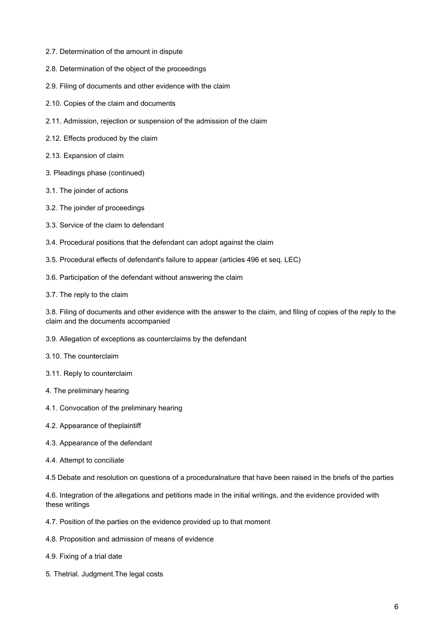- 2.7. Determination of the amount in dispute
- 2.8. Determination of the object of the proceedings
- 2.9. Filing of documents and other evidence with the claim
- 2.10. Copies of the claim and documents
- 2.11. Admission, rejection or suspension of the admission of the claim
- 2.12. Effects produced by the claim
- 2.13. Expansion of claim
- 3. Pleadings phase (continued)
- 3.1. The joinder of actions
- 3.2. The joinder of proceedings
- 3.3. Service of the claim to defendant
- 3.4. Procedural positions that the defendant can adopt against the claim
- 3.5. Procedural effects of defendant's failure to appear (articles 496 et seq. LEC)
- 3.6. Participation of the defendant without answering the claim
- 3.7. The reply to the claim

3.8. Filing of documents and other evidence with the answer to the claim, and filing of copies of the reply to the claim and the documents accompanied

- 3.9. Allegation of exceptions as counterclaims by the defendant
- 3.10. The counterclaim
- 3.11. Reply to counterclaim
- 4. The preliminary hearing
- 4.1. Convocation of the preliminary hearing
- 4.2. Appearance of theplaintiff
- 4.3. Appearance of the defendant
- 4.4. Attempt to conciliate
- 4.5 Debate and resolution on questions of a proceduralnature that have been raised in the briefs of the parties

4.6. Integration of the allegations and petitions made in the initial writings, and the evidence provided with these writings

- 4.7. Position of the parties on the evidence provided up to that moment
- 4.8. Proposition and admission of means of evidence
- 4.9. Fixing of a trial date
- 5. Thetrial. Judgment.The legal costs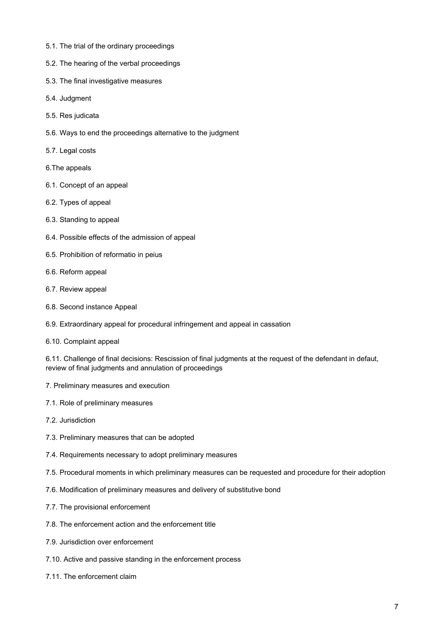- 5.1. The trial of the ordinary proceedings
- 5.2. The hearing of the verbal proceedings
- 5.3. The final investigative measures
- 5.4. Judgment
- 5.5. Res judicata
- 5.6. Ways to end the proceedings alternative to the judgment
- 5.7. Legal costs
- 6.The appeals
- 6.1. Concept of an appeal
- 6.2. Types of appeal
- 6.3. Standing to appeal
- 6.4. Possible effects of the admission of appeal
- 6.5. Prohibition of reformatio in peius
- 6.6. Reform appeal
- 6.7. Review appeal
- 6.8. Second instance Appeal
- 6.9. Extraordinary appeal for procedural infringement and appeal in cassation
- 6.10. Complaint appeal

6.11. Challenge of final decisions: Rescission of final judgments at the request of the defendant in defaut, review of final judgments and annulation of proceedings

- 7. Preliminary measures and execution
- 7.1. Role of preliminary measures
- 7.2. Jurisdiction
- 7.3. Preliminary measures that can be adopted
- 7.4. Requirements necessary to adopt preliminary measures
- 7.5. Procedural moments in which preliminary measures can be requested and procedure for their adoption
- 7.6. Modification of preliminary measures and delivery of substitutive bond
- 7.7. The provisional enforcement
- 7.8. The enforcement action and the enforcement title
- 7.9. Jurisdiction over enforcement
- 7.10. Active and passive standing in the enforcement process
- 7.11. The enforcement claim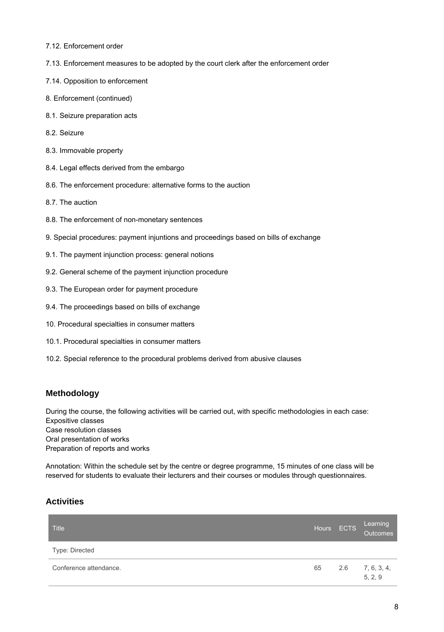- 7.12. Enforcement order
- 7.13. Enforcement measures to be adopted by the court clerk after the enforcement order
- 7.14. Opposition to enforcement
- 8. Enforcement (continued)
- 8.1. Seizure preparation acts
- 8.2. Seizure
- 8.3. Immovable property
- 8.4. Legal effects derived from the embargo
- 8.6. The enforcement procedure: alternative forms to the auction
- 8.7. The auction
- 8.8. The enforcement of non-monetary sentences
- 9. Special procedures: payment injuntions and proceedings based on bills of exchange
- 9.1. The payment injunction process: general notions
- 9.2. General scheme of the payment injunction procedure
- 9.3. The European order for payment procedure
- 9.4. The proceedings based on bills of exchange
- 10. Procedural specialties in consumer matters
- 10.1. Procedural specialties in consumer matters
- 10.2. Special reference to the procedural problems derived from abusive clauses

## **Methodology**

During the course, the following activities will be carried out, with specific methodologies in each case: Expositive classes Case resolution classes Oral presentation of works Preparation of reports and works

Annotation: Within the schedule set by the centre or degree programme, 15 minutes of one class will be reserved for students to evaluate their lecturers and their courses or modules through questionnaires.

## **Activities**

| <b>Title</b>           |    | Hours ECTS | Learning<br>Outcomes   |
|------------------------|----|------------|------------------------|
| Type: Directed         |    |            |                        |
| Conference attendance. | 65 | 2.6        | 7, 6, 3, 4,<br>5, 2, 9 |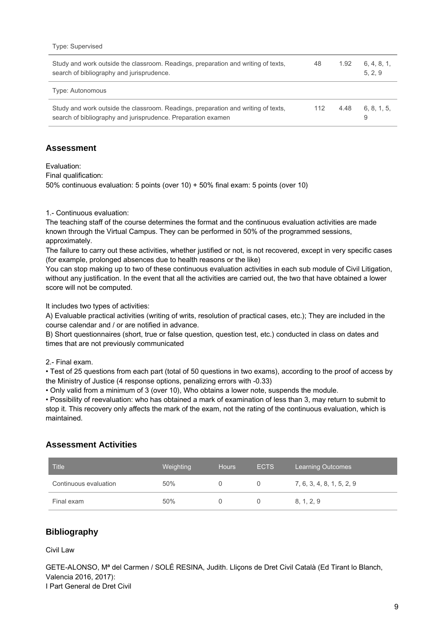| Study and work outside the classroom. Readings, preparation and writing of texts,<br>search of bibliography and jurisprudence.                    | 48  | 1.92 | 6, 4, 8, 1,<br>5, 2, 9 |
|---------------------------------------------------------------------------------------------------------------------------------------------------|-----|------|------------------------|
| Type: Autonomous                                                                                                                                  |     |      |                        |
| Study and work outside the classroom. Readings, preparation and writing of texts,<br>search of bibliography and jurisprudence. Preparation examen | 112 | 4.48 | 6.8.1.5.<br>9          |

## **Assessment**

Evaluation: Final qualification: 50% continuous evaluation: 5 points (over 10) + 50% final exam: 5 points (over 10)

1.- Continuous evaluation:

The teaching staff of the course determines the format and the continuous evaluation activities are made known through the Virtual Campus. They can be performed in 50% of the programmed sessions, approximately.

The failure to carry out these activities, whether justified or not, is not recovered, except in very specific cases (for example, prolonged absences due to health reasons or the like)

You can stop making up to two of these continuous evaluation activities in each sub module of Civil Litigation, without any justification. In the event that all the activities are carried out, the two that have obtained a lower score will not be computed.

It includes two types of activities:

A) Evaluable practical activities (writing of writs, resolution of practical cases, etc.); They are included in the course calendar and / or are notified in advance.

B) Short questionnaires (short, true or false question, question test, etc.) conducted in class on dates and times that are not previously communicated

2.- Final exam.

• Test of 25 questions from each part (total of 50 questions in two exams), according to the proof of access by the Ministry of Justice (4 response options, penalizing errors with -0.33)

• Only valid from a minimum of 3 (over 10), Who obtains a lower note, suspends the module.

• Possibility of reevaluation: who has obtained a mark of examination of less than 3, may return to submit to stop it. This recovery only affects the mark of the exam, not the rating of the continuous evaluation, which is maintained.

## **Assessment Activities**

| <b>Title</b>          | Weighting | <b>Hours</b> | <b>ECTS</b> | <b>Learning Outcomes</b>  |
|-----------------------|-----------|--------------|-------------|---------------------------|
| Continuous evaluation | 50%       |              |             | 7, 6, 3, 4, 8, 1, 5, 2, 9 |
| Final exam            | 50%       |              |             | 8, 1, 2, 9                |

## **Bibliography**

Civil Law

GETE-ALONSO, Mª del Carmen / SOLÉ RESINA, Judith. Lliçons de Dret Civil Català (Ed Tirant lo Blanch, Valencia 2016, 2017): I Part General de Dret Civil

9